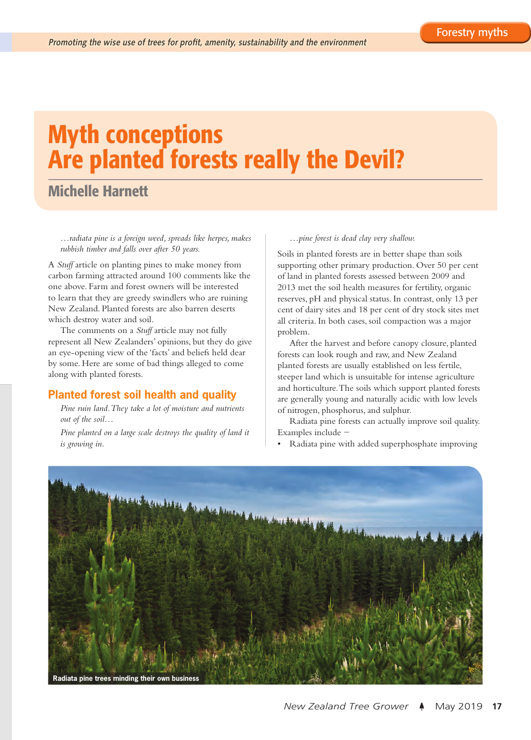# Myth conceptions Are planted forests really the Devil?

# Michelle Harnett

*…radiata pine is a foreign weed, spreads like herpes, makes rubbish timber and falls over after 50 years.*

A *Stuff* article on planting pines to make money from carbon farming attracted around 100 comments like the one above. Farm and forest owners will be interested to learn that they are greedy swindlers who are ruining New Zealand. Planted forests are also barren deserts which destroy water and soil.

The comments on a *Stuff* article may not fully represent all New Zealanders' opinions, but they do give an eye-opening view of the 'facts' and beliefs held dear by some. Here are some of bad things alleged to come along with planted forests.

# **Planted forest soil health and quality**

*Pine ruin land. They take a lot of moisture and nutrients out of the soil…*

*Pine planted on a large scale destroys the quality of land it is growing in.*

#### *…pine forest is dead clay very shallow.*

Soils in planted forests are in better shape than soils supporting other primary production. Over 50 per cent of land in planted forests assessed between 2009 and 2013 met the soil health measures for fertility, organic reserves, pH and physical status. In contrast, only 13 per cent of dairy sites and 18 per cent of dry stock sites met all criteria. In both cases, soil compaction was a major problem.

After the harvest and before canopy closure, planted forests can look rough and raw, and New Zealand planted forests are usually established on less fertile, steeper land which is unsuitable for intense agriculture and horticulture. The soils which support planted forests are generally young and naturally acidic with low levels of nitrogen, phosphorus, and sulphur.

Radiata pine forests can actually improve soil quality. Examples include −

• Radiata pine with added superphosphate improving

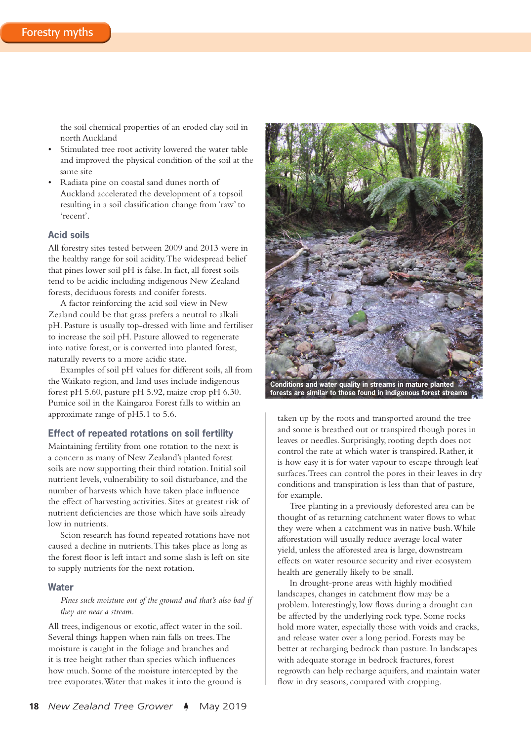the soil chemical properties of an eroded clay soil in north Auckland

- Stimulated tree root activity lowered the water table and improved the physical condition of the soil at the same site
- Radiata pine on coastal sand dunes north of Auckland accelerated the development of a topsoil resulting in a soil classification change from 'raw' to 'recent'.

### **Acid soils**

All forestry sites tested between 2009 and 2013 were in the healthy range for soil acidity. The widespread belief that pines lower soil pH is false. In fact, all forest soils tend to be acidic including indigenous New Zealand forests, deciduous forests and conifer forests.

A factor reinforcing the acid soil view in New Zealand could be that grass prefers a neutral to alkali pH. Pasture is usually top-dressed with lime and fertiliser to increase the soil pH. Pasture allowed to regenerate into native forest, or is converted into planted forest, naturally reverts to a more acidic state.

Examples of soil pH values for different soils, all from the Waikato region, and land uses include indigenous forest pH 5.60, pasture pH 5.92, maize crop pH 6.30. Pumice soil in the Kaingaroa Forest falls to within an approximate range of pH5.1 to 5.6.

#### **Effect of repeated rotations on soil fertility**

Maintaining fertility from one rotation to the next is a concern as many of New Zealand's planted forest soils are now supporting their third rotation. Initial soil nutrient levels, vulnerability to soil disturbance, and the number of harvests which have taken place influence the effect of harvesting activities. Sites at greatest risk of nutrient deficiencies are those which have soils already low in nutrients.

Scion research has found repeated rotations have not caused a decline in nutrients. This takes place as long as the forest floor is left intact and some slash is left on site to supply nutrients for the next rotation.

#### **Water**

*Pines suck moisture out of the ground and that's also bad if they are near a stream.*

All trees, indigenous or exotic, affect water in the soil. Several things happen when rain falls on trees. The moisture is caught in the foliage and branches and it is tree height rather than species which influences how much. Some of the moisture intercepted by the tree evaporates. Water that makes it into the ground is



**forests are similar to those found in indigenous forest streams**

taken up by the roots and transported around the tree and some is breathed out or transpired though pores in leaves or needles. Surprisingly, rooting depth does not control the rate at which water is transpired. Rather, it is how easy it is for water vapour to escape through leaf surfaces. Trees can control the pores in their leaves in dry conditions and transpiration is less than that of pasture, for example.

Tree planting in a previously deforested area can be thought of as returning catchment water flows to what they were when a catchment was in native bush. While afforestation will usually reduce average local water yield, unless the afforested area is large, downstream effects on water resource security and river ecosystem health are generally likely to be small.

In drought-prone areas with highly modified landscapes, changes in catchment flow may be a problem. Interestingly, low flows during a drought can be affected by the underlying rock type. Some rocks hold more water, especially those with voids and cracks, and release water over a long period. Forests may be better at recharging bedrock than pasture. In landscapes with adequate storage in bedrock fractures, forest regrowth can help recharge aquifers, and maintain water flow in dry seasons, compared with cropping.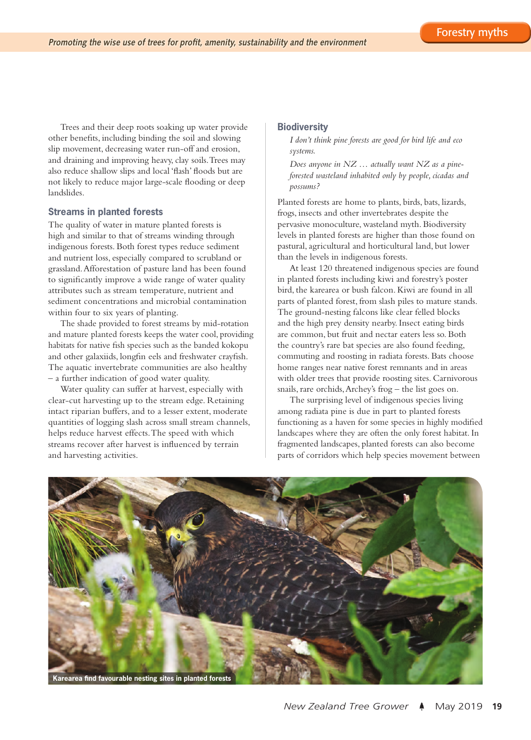Trees and their deep roots soaking up water provide other benefits, including binding the soil and slowing slip movement, decreasing water run-off and erosion, and draining and improving heavy, clay soils. Trees may also reduce shallow slips and local 'flash' floods but are not likely to reduce major large-scale flooding or deep landslides.

#### **Streams in planted forests**

The quality of water in mature planted forests is high and similar to that of streams winding through indigenous forests. Both forest types reduce sediment and nutrient loss, especially compared to scrubland or grassland. Afforestation of pasture land has been found to significantly improve a wide range of water quality attributes such as stream temperature, nutrient and sediment concentrations and microbial contamination within four to six years of planting.

The shade provided to forest streams by mid-rotation and mature planted forests keeps the water cool, providing habitats for native fish species such as the banded kokopu and other galaxiids, longfin eels and freshwater crayfish. The aquatic invertebrate communities are also healthy – a further indication of good water quality.

Water quality can suffer at harvest, especially with clear-cut harvesting up to the stream edge. Retaining intact riparian buffers, and to a lesser extent, moderate quantities of logging slash across small stream channels, helps reduce harvest effects. The speed with which streams recover after harvest is influenced by terrain and harvesting activities.

#### **Biodiversity**

*I don't think pine forests are good for bird life and eco systems.*

*Does anyone in NZ … actually want NZ as a pineforested wasteland inhabited only by people, cicadas and possums?*

Planted forests are home to plants, birds, bats, lizards, frogs, insects and other invertebrates despite the pervasive monoculture, wasteland myth. Biodiversity levels in planted forests are higher than those found on pastural, agricultural and horticultural land, but lower than the levels in indigenous forests.

At least 120 threatened indigenous species are found in planted forests including kiwi and forestry's poster bird, the karearea or bush falcon. Kiwi are found in all parts of planted forest, from slash piles to mature stands. The ground-nesting falcons like clear felled blocks and the high prey density nearby. Insect eating birds are common, but fruit and nectar eaters less so. Both the country's rare bat species are also found feeding, commuting and roosting in radiata forests. Bats choose home ranges near native forest remnants and in areas with older trees that provide roosting sites. Carnivorous snails, rare orchids, Archey's frog – the list goes on.

The surprising level of indigenous species living among radiata pine is due in part to planted forests functioning as a haven for some species in highly modified landscapes where they are often the only forest habitat. In fragmented landscapes, planted forests can also become parts of corridors which help species movement between

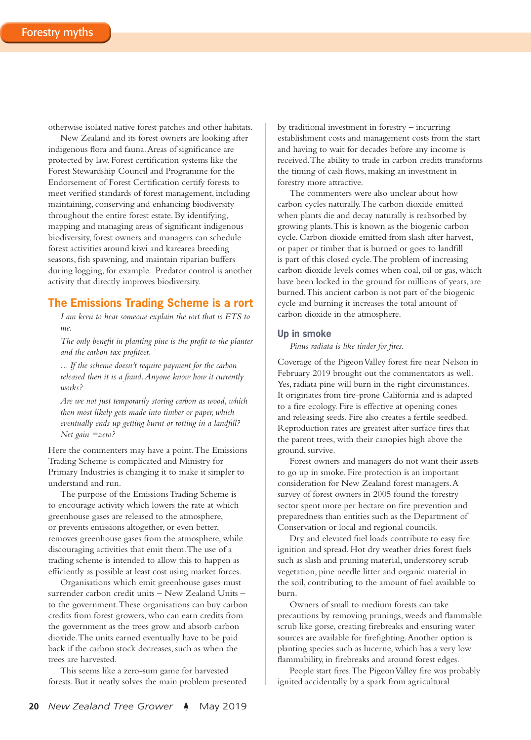otherwise isolated native forest patches and other habitats.

New Zealand and its forest owners are looking after indigenous flora and fauna. Areas of significance are protected by law. Forest certification systems like the Forest Stewardship Council and Programme for the Endorsement of Forest Certification certify forests to meet verified standards of forest management, including maintaining, conserving and enhancing biodiversity throughout the entire forest estate. By identifying, mapping and managing areas of significant indigenous biodiversity, forest owners and managers can schedule forest activities around kiwi and karearea breeding seasons, fish spawning, and maintain riparian buffers during logging, for example. Predator control is another activity that directly improves biodiversity.

## **The Emissions Trading Scheme is a rort**

*I am keen to hear someone explain the rort that is ETS to me.*

*The only benefit in planting pine is the profit to the planter and the carbon tax profiteer.*

*... If the scheme doesn't require payment for the carbon released then it is a fraud. Anyone know how it currently works?*

*Are we not just temporarily storing carbon as wood, which then most likely gets made into timber or paper, which eventually ends up getting burnt or rotting in a landfill? Net gain =zero?*

Here the commenters may have a point. The Emissions Trading Scheme is complicated and Ministry for Primary Industries is changing it to make it simpler to understand and run.

The purpose of the Emissions Trading Scheme is to encourage activity which lowers the rate at which greenhouse gases are released to the atmosphere, or prevents emissions altogether, or even better, removes greenhouse gases from the atmosphere, while discouraging activities that emit them. The use of a trading scheme is intended to allow this to happen as efficiently as possible at least cost using market forces.

Organisations which emit greenhouse gases must surrender carbon credit units – New Zealand Units – to the government. These organisations can buy carbon credits from forest growers, who can earn credits from the government as the trees grow and absorb carbon dioxide. The units earned eventually have to be paid back if the carbon stock decreases, such as when the trees are harvested.

This seems like a zero-sum game for harvested forests. But it neatly solves the main problem presented by traditional investment in forestry – incurring establishment costs and management costs from the start and having to wait for decades before any income is received. The ability to trade in carbon credits transforms the timing of cash flows, making an investment in forestry more attractive.

The commenters were also unclear about how carbon cycles naturally. The carbon dioxide emitted when plants die and decay naturally is reabsorbed by growing plants. This is known as the biogenic carbon cycle. Carbon dioxide emitted from slash after harvest, or paper or timber that is burned or goes to landfill is part of this closed cycle. The problem of increasing carbon dioxide levels comes when coal, oil or gas, which have been locked in the ground for millions of years, are burned. This ancient carbon is not part of the biogenic cycle and burning it increases the total amount of carbon dioxide in the atmosphere.

#### **Up in smoke**

*Pinus radiata is like tinder for fires.*

Coverage of the Pigeon Valley forest fire near Nelson in February 2019 brought out the commentators as well. Yes, radiata pine will burn in the right circumstances. It originates from fire-prone California and is adapted to a fire ecology. Fire is effective at opening cones and releasing seeds. Fire also creates a fertile seedbed. Reproduction rates are greatest after surface fires that the parent trees, with their canopies high above the ground, survive.

Forest owners and managers do not want their assets to go up in smoke. Fire protection is an important consideration for New Zealand forest managers. A survey of forest owners in 2005 found the forestry sector spent more per hectare on fire prevention and preparedness than entities such as the Department of Conservation or local and regional councils.

Dry and elevated fuel loads contribute to easy fire ignition and spread. Hot dry weather dries forest fuels such as slash and pruning material, understorey scrub vegetation, pine needle litter and organic material in the soil, contributing to the amount of fuel available to burn.

Owners of small to medium forests can take precautions by removing prunings, weeds and flammable scrub like gorse, creating firebreaks and ensuring water sources are available for firefighting. Another option is planting species such as lucerne, which has a very low flammability, in firebreaks and around forest edges.

People start fires. The Pigeon Valley fire was probably ignited accidentally by a spark from agricultural